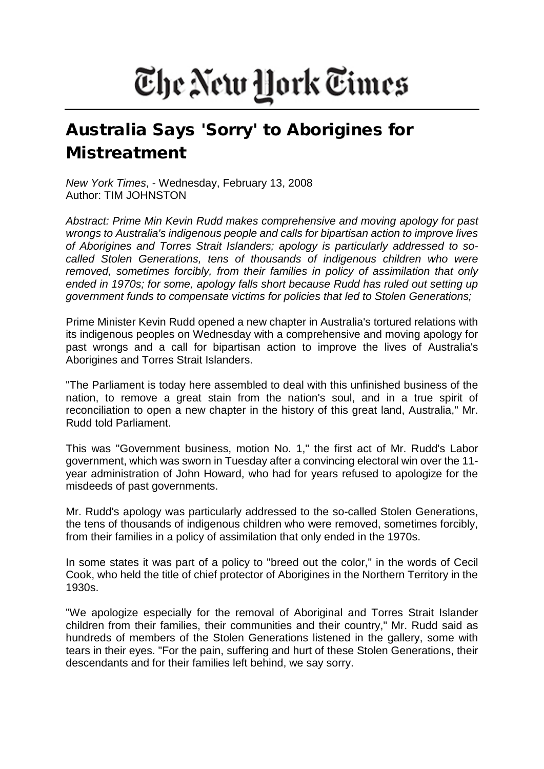## The New York Times

## Australia Says 'Sorry' to Aborigines for Mistreatment

*New York Times*, - Wednesday, February 13, 2008 Author: TIM JOHNSTON

*Abstract: Prime Min Kevin Rudd makes comprehensive and moving apology for past wrongs to Australia's indigenous people and calls for bipartisan action to improve lives of Aborigines and Torres Strait Islanders; apology is particularly addressed to socalled Stolen Generations, tens of thousands of indigenous children who were removed, sometimes forcibly, from their families in policy of assimilation that only ended in 1970s; for some, apology falls short because Rudd has ruled out setting up government funds to compensate victims for policies that led to Stolen Generations;* 

Prime Minister Kevin Rudd opened a new chapter in Australia's tortured relations with its indigenous peoples on Wednesday with a comprehensive and moving apology for past wrongs and a call for bipartisan action to improve the lives of Australia's Aborigines and Torres Strait Islanders.

"The Parliament is today here assembled to deal with this unfinished business of the nation, to remove a great stain from the nation's soul, and in a true spirit of reconciliation to open a new chapter in the history of this great land, Australia," Mr. Rudd told Parliament.

This was "Government business, motion No. 1," the first act of Mr. Rudd's Labor government, which was sworn in Tuesday after a convincing electoral win over the 11 year administration of John Howard, who had for years refused to apologize for the misdeeds of past governments.

Mr. Rudd's apology was particularly addressed to the so-called Stolen Generations, the tens of thousands of indigenous children who were removed, sometimes forcibly, from their families in a policy of assimilation that only ended in the 1970s.

In some states it was part of a policy to "breed out the color," in the words of Cecil Cook, who held the title of chief protector of Aborigines in the Northern Territory in the 1930s.

"We apologize especially for the removal of Aboriginal and Torres Strait Islander children from their families, their communities and their country," Mr. Rudd said as hundreds of members of the Stolen Generations listened in the gallery, some with tears in their eyes. "For the pain, suffering and hurt of these Stolen Generations, their descendants and for their families left behind, we say sorry.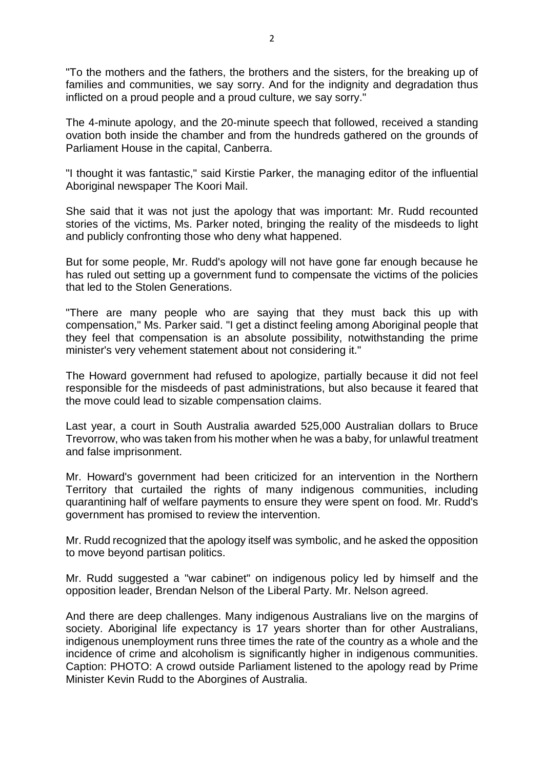"To the mothers and the fathers, the brothers and the sisters, for the breaking up of families and communities, we say sorry. And for the indignity and degradation thus inflicted on a proud people and a proud culture, we say sorry."

The 4-minute apology, and the 20-minute speech that followed, received a standing ovation both inside the chamber and from the hundreds gathered on the grounds of Parliament House in the capital, Canberra.

"I thought it was fantastic," said Kirstie Parker, the managing editor of the influential Aboriginal newspaper The Koori Mail.

She said that it was not just the apology that was important: Mr. Rudd recounted stories of the victims, Ms. Parker noted, bringing the reality of the misdeeds to light and publicly confronting those who deny what happened.

But for some people, Mr. Rudd's apology will not have gone far enough because he has ruled out setting up a government fund to compensate the victims of the policies that led to the Stolen Generations.

"There are many people who are saying that they must back this up with compensation," Ms. Parker said. "I get a distinct feeling among Aboriginal people that they feel that compensation is an absolute possibility, notwithstanding the prime minister's very vehement statement about not considering it."

The Howard government had refused to apologize, partially because it did not feel responsible for the misdeeds of past administrations, but also because it feared that the move could lead to sizable compensation claims.

Last year, a court in South Australia awarded 525,000 Australian dollars to Bruce Trevorrow, who was taken from his mother when he was a baby, for unlawful treatment and false imprisonment.

Mr. Howard's government had been criticized for an intervention in the Northern Territory that curtailed the rights of many indigenous communities, including quarantining half of welfare payments to ensure they were spent on food. Mr. Rudd's government has promised to review the intervention.

Mr. Rudd recognized that the apology itself was symbolic, and he asked the opposition to move beyond partisan politics.

Mr. Rudd suggested a "war cabinet" on indigenous policy led by himself and the opposition leader, Brendan Nelson of the Liberal Party. Mr. Nelson agreed.

And there are deep challenges. Many indigenous Australians live on the margins of society. Aboriginal life expectancy is 17 years shorter than for other Australians, indigenous unemployment runs three times the rate of the country as a whole and the incidence of crime and alcoholism is significantly higher in indigenous communities. Caption: PHOTO: A crowd outside Parliament listened to the apology read by Prime Minister Kevin Rudd to the Aborgines of Australia.